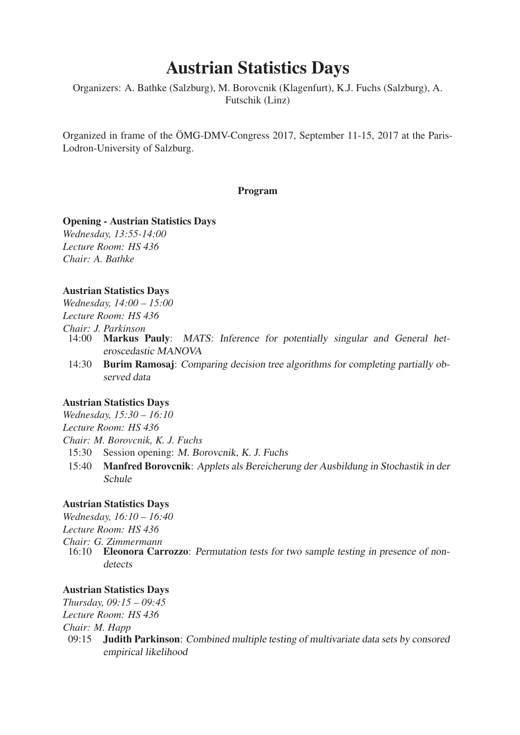# Austrian Statistics Days

Organizers: A. Bathke (Salzburg), M. Borovcnik (Klagenfurt), K.J. Fuchs (Salzburg), A. Futschik (Linz)

Organized in frame of the ÖMG-DMV-Congress 2017, September 11-15, 2017 at the Paris-Lodron-University of Salzburg.

#### Program

#### Opening - Austrian Statistics Days

*Wednesday, 13:55-14:00 Lecture Room: HS 436 Chair: A. Bathke*

## Austrian Statistics Days

*Wednesday, 14:00 – 15:00 Lecture Room: HS 436*

*Chair: J. Parkinson*

- 14:00 Markus Pauly: *MATS: Inference for potentially singular and General heteroscedastic MANOVA*
- 14:30 Burim Ramosaj: *Comparing decision tree algorithms for completing partially observed data*

## Austrian Statistics Days

*Wednesday, 15:30 – 16:10 Lecture Room: HS 436 Chair: M. Borovcnik, K. J. Fuchs* 15:30 Session opening: *M. Borovcnik, K. J. Fuchs*

15:40 Manfred Borovcnik: *Applets als Bereicherung der Ausbildung in Stochastik in der Schule*

## Austrian Statistics Days

*Wednesday, 16:10 – 16:40 Lecture Room: HS 436 Chair: G. Zimmermann*

16:10 Eleonora Carrozzo: *Permutation tests for two sample testing in presence of nondetects*

## Austrian Statistics Days

*Thursday, 09:15 – 09:45 Lecture Room: HS 436 Chair: M. Happ* 09:15 Judith Parkinson: *Combined multiple testing of multivariate data sets by consored empirical likelihood*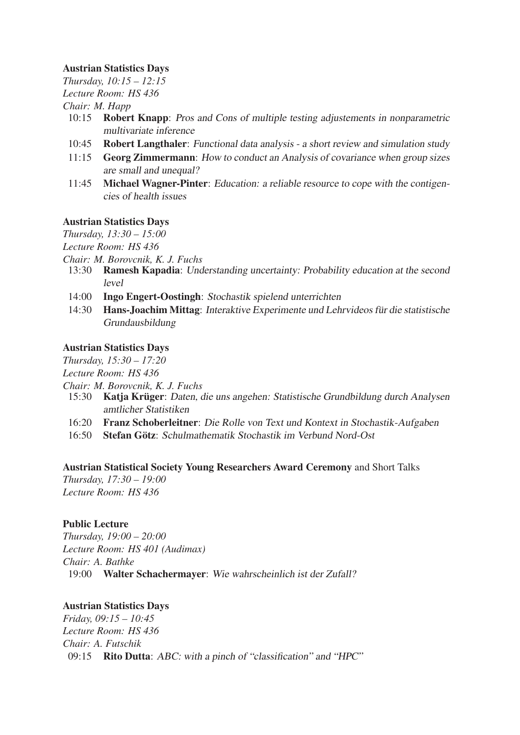# Austrian Statistics Days

*Thursday, 10:15 – 12:15 Lecture Room: HS 436 Chair: M. Happ*

- 10:15 Robert Knapp: *Pros and Cons of multiple testing adjustements in nonparametric multivariate inference*
- 10:45 Robert Langthaler: *Functional data analysis a short review and simulation study*
- 11:15 Georg Zimmermann: *How to conduct an Analysis of covariance when group sizes are small and unequal?*
- 11:45 Michael Wagner-Pinter: *Education: a reliable resource to cope with the contigencies of health issues*

## Austrian Statistics Days

*Thursday, 13:30 – 15:00*

*Lecture Room: HS 436*

- *Chair: M. Borovcnik, K. J. Fuchs*
	- 13:30 Ramesh Kapadia: *Understanding uncertainty: Probability education at the second level*
	- 14:00 Ingo Engert-Oostingh: *Stochastik spielend unterrichten*
	- 14:30 Hans-Joachim Mittag: *Interaktive Experimente und Lehrvideos für die statistische Grundausbildung*

## Austrian Statistics Days

*Thursday, 15:30 – 17:20*

*Lecture Room: HS 436*

*Chair: M. Borovcnik, K. J. Fuchs*

- 15:30 Katja Krüger: *Daten, die uns angehen: Statistische Grundbildung durch Analysen amtlicher Statistiken*
- 16:20 Franz Schoberleitner: *Die Rolle von Text und Kontext in Stochastik-Aufgaben*
- 16:50 Stefan Götz: *Schulmathematik Stochastik im Verbund Nord-Ost*

Austrian Statistical Society Young Researchers Award Ceremony and Short Talks *Thursday, 17:30 – 19:00*

*Lecture Room: HS 436*

# Public Lecture

*Thursday, 19:00 – 20:00 Lecture Room: HS 401 (Audimax) Chair: A. Bathke* 19:00 Walter Schachermayer: *Wie wahrscheinlich ist der Zufall?*

# Austrian Statistics Days

*Friday, 09:15 – 10:45 Lecture Room: HS 436 Chair: A. Futschik* 09:15 Rito Dutta: *ABC: with a pinch of "classification" and "HPC"*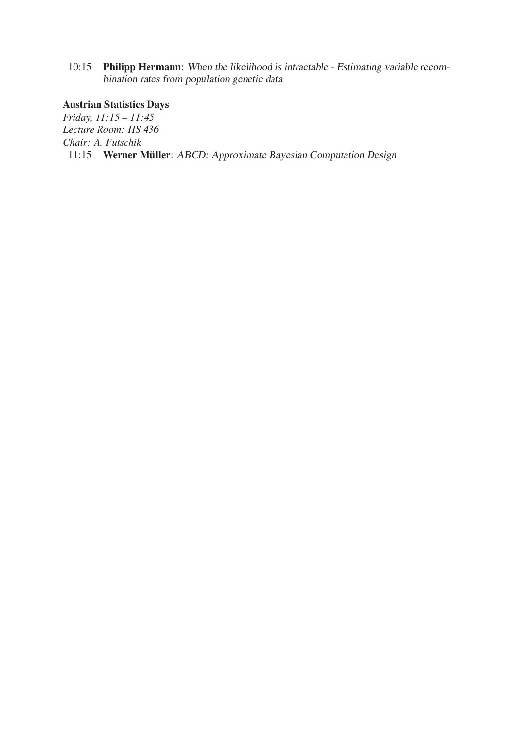10:15 Philipp Hermann: *When the likelihood is intractable - Estimating variable recombination rates from population genetic data*

# Austrian Statistics Days

*Friday, 11:15 – 11:45 Lecture Room: HS 436 Chair: A. Futschik* 11:15 Werner Müller: *ABCD: Approximate Bayesian Computation Design*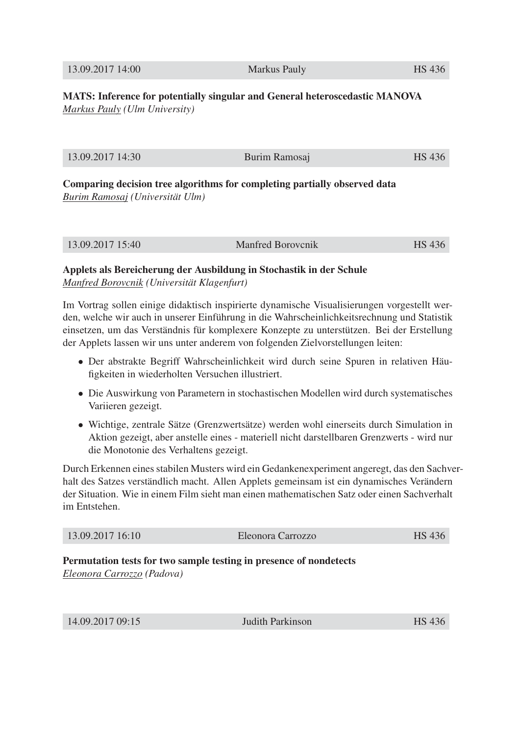13.09.2017 14:00 Markus Pauly HS 436

MATS: Inference for potentially singular and General heteroscedastic MANOVA *Markus Pauly (Ulm University)*

| 13.09.2017 14:30<br><b>HS</b> 436<br>Burim Ramosaj |
|----------------------------------------------------|
|----------------------------------------------------|

Comparing decision tree algorithms for completing partially observed data *Burim Ramosaj (Universität Ulm)*

13.09.2017 15:40 Manfred Borovcnik HS 436

# Applets als Bereicherung der Ausbildung in Stochastik in der Schule *Manfred Borovcnik (Universität Klagenfurt)*

Im Vortrag sollen einige didaktisch inspirierte dynamische Visualisierungen vorgestellt werden, welche wir auch in unserer Einführung in die Wahrscheinlichkeitsrechnung und Statistik einsetzen, um das Verständnis für komplexere Konzepte zu unterstützen. Bei der Erstellung der Applets lassen wir uns unter anderem von folgenden Zielvorstellungen leiten:

- Der abstrakte Begriff Wahrscheinlichkeit wird durch seine Spuren in relativen Häufigkeiten in wiederholten Versuchen illustriert.
- Die Auswirkung von Parametern in stochastischen Modellen wird durch systematisches Variieren gezeigt.
- Wichtige, zentrale Sätze (Grenzwertsätze) werden wohl einerseits durch Simulation in Aktion gezeigt, aber anstelle eines - materiell nicht darstellbaren Grenzwerts - wird nur die Monotonie des Verhaltens gezeigt.

Durch Erkennen eines stabilen Musters wird ein Gedankenexperiment angeregt, das den Sachverhalt des Satzes verständlich macht. Allen Applets gemeinsam ist ein dynamisches Verändern der Situation. Wie in einem Film sieht man einen mathematischen Satz oder einen Sachverhalt im Entstehen.

| 13.09.2017 16:10 | Eleonora Carrozzo | <b>HS 436</b> |
|------------------|-------------------|---------------|
|                  |                   |               |

# Permutation tests for two sample testing in presence of nondetects *Eleonora Carrozzo (Padova)*

| 14.09.2017 09:15 | <b>Judith Parkinson</b> | 12C |
|------------------|-------------------------|-----|
|                  |                         |     |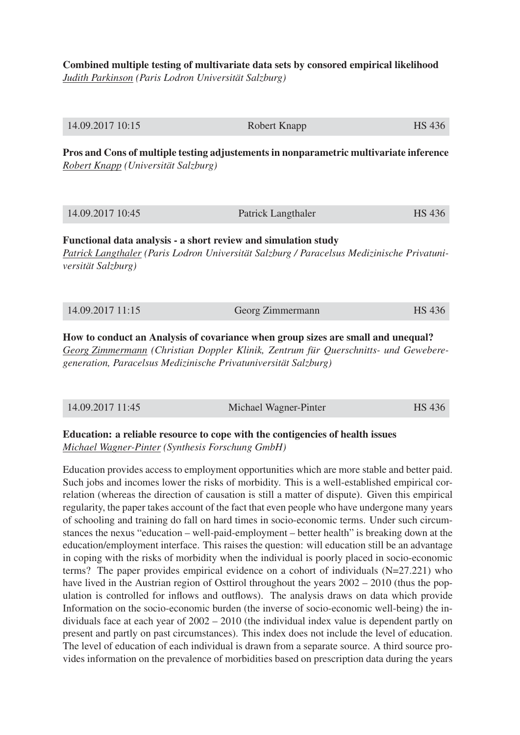Combined multiple testing of multivariate data sets by consored empirical likelihood *Judith Parkinson (Paris Lodron Universität Salzburg)*

| 14.09.2017 10:15                                                                                                                                                                   | Robert Knapp       | HS 436 |
|------------------------------------------------------------------------------------------------------------------------------------------------------------------------------------|--------------------|--------|
| Pros and Cons of multiple testing adjustements in nonparametric multivariate inference<br>Robert Knapp (Universität Salzburg)                                                      |                    |        |
| 14.09.2017 10:45                                                                                                                                                                   | Patrick Langthaler | HS 436 |
| Functional data analysis - a short review and simulation study<br>Patrick Langthaler (Paris Lodron Universität Salzburg / Paracelsus Medizinische Privatuni-<br>versität Salzburg) |                    |        |
| 14.09.2017 11:15                                                                                                                                                                   | Georg Zimmermann   | HS 436 |

How to conduct an Analysis of covariance when group sizes are small and unequal? *Georg Zimmermann (Christian Doppler Klinik, Zentrum für Querschnitts- und Geweberegeneration, Paracelsus Medizinische Privatuniversität Salzburg)*

| 14.09.2017 11:45 | Michael Wagner-Pinter | HS 436 |
|------------------|-----------------------|--------|
|                  |                       |        |

# Education: a reliable resource to cope with the contigencies of health issues *Michael Wagner-Pinter (Synthesis Forschung GmbH)*

Education provides access to employment opportunities which are more stable and better paid. Such jobs and incomes lower the risks of morbidity. This is a well-established empirical correlation (whereas the direction of causation is still a matter of dispute). Given this empirical regularity, the paper takes account of the fact that even people who have undergone many years of schooling and training do fall on hard times in socio-economic terms. Under such circumstances the nexus "education – well-paid-employment – better health" is breaking down at the education/employment interface. This raises the question: will education still be an advantage in coping with the risks of morbidity when the individual is poorly placed in socio-economic terms? The paper provides empirical evidence on a cohort of individuals (N=27.221) who have lived in the Austrian region of Osttirol throughout the years  $2002 - 2010$  (thus the population is controlled for inflows and outflows). The analysis draws on data which provide Information on the socio-economic burden (the inverse of socio-economic well-being) the individuals face at each year of 2002 – 2010 (the individual index value is dependent partly on present and partly on past circumstances). This index does not include the level of education. The level of education of each individual is drawn from a separate source. A third source provides information on the prevalence of morbidities based on prescription data during the years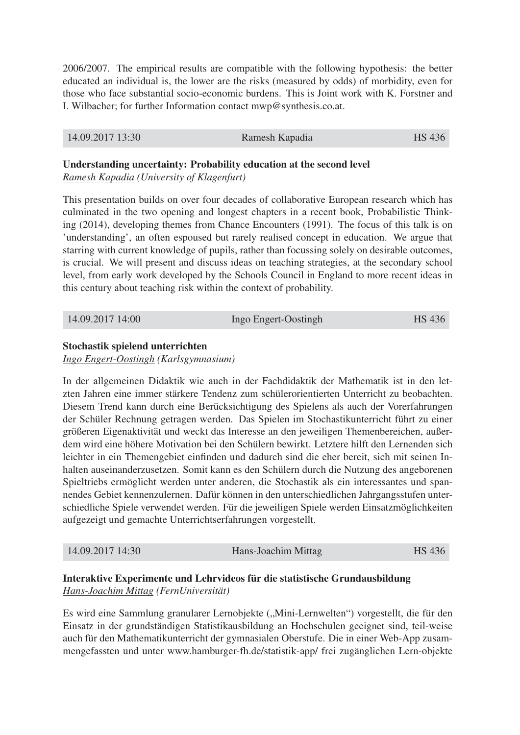2006/2007. The empirical results are compatible with the following hypothesis: the better educated an individual is, the lower are the risks (measured by odds) of morbidity, even for those who face substantial socio-economic burdens. This is Joint work with K. Forstner and I. Wilbacher; for further Information contact mwp@synthesis.co.at.

| 14.09.2017 13:30 | Ramesh Kapadia | HS 436 |
|------------------|----------------|--------|
|                  |                |        |

# Understanding uncertainty: Probability education at the second level

*Ramesh Kapadia (University of Klagenfurt)*

This presentation builds on over four decades of collaborative European research which has culminated in the two opening and longest chapters in a recent book, Probabilistic Thinking (2014), developing themes from Chance Encounters (1991). The focus of this talk is on 'understanding', an often espoused but rarely realised concept in education. We argue that starring with current knowledge of pupils, rather than focussing solely on desirable outcomes, is crucial. We will present and discuss ideas on teaching strategies, at the secondary school level, from early work developed by the Schools Council in England to more recent ideas in this century about teaching risk within the context of probability.

| 14.09.2017 14:00 | Ingo Engert-Oostingh | HS 436 |
|------------------|----------------------|--------|
|------------------|----------------------|--------|

## Stochastik spielend unterrichten

*Ingo Engert-Oostingh (Karlsgymnasium)*

In der allgemeinen Didaktik wie auch in der Fachdidaktik der Mathematik ist in den letzten Jahren eine immer stärkere Tendenz zum schülerorientierten Unterricht zu beobachten. Diesem Trend kann durch eine Berücksichtigung des Spielens als auch der Vorerfahrungen der Schüler Rechnung getragen werden. Das Spielen im Stochastikunterricht führt zu einer größeren Eigenaktivität und weckt das Interesse an den jeweiligen Themenbereichen, außerdem wird eine höhere Motivation bei den Schülern bewirkt. Letztere hilft den Lernenden sich leichter in ein Themengebiet einfinden und dadurch sind die eher bereit, sich mit seinen Inhalten auseinanderzusetzen. Somit kann es den Schülern durch die Nutzung des angeborenen Spieltriebs ermöglicht werden unter anderen, die Stochastik als ein interessantes und spannendes Gebiet kennenzulernen. Dafür können in den unterschiedlichen Jahrgangsstufen unterschiedliche Spiele verwendet werden. Für die jeweiligen Spiele werden Einsatzmöglichkeiten aufgezeigt und gemachte Unterrichtserfahrungen vorgestellt.

# Interaktive Experimente und Lehrvideos für die statistische Grundausbildung *Hans-Joachim Mittag (FernUniversität)*

Es wird eine Sammlung granularer Lernobjekte ("Mini-Lernwelten") vorgestellt, die für den Einsatz in der grundständigen Statistikausbildung an Hochschulen geeignet sind, teil-weise auch für den Mathematikunterricht der gymnasialen Oberstufe. Die in einer Web-App zusammengefassten und unter www.hamburger-fh.de/statistik-app/ frei zugänglichen Lern-objekte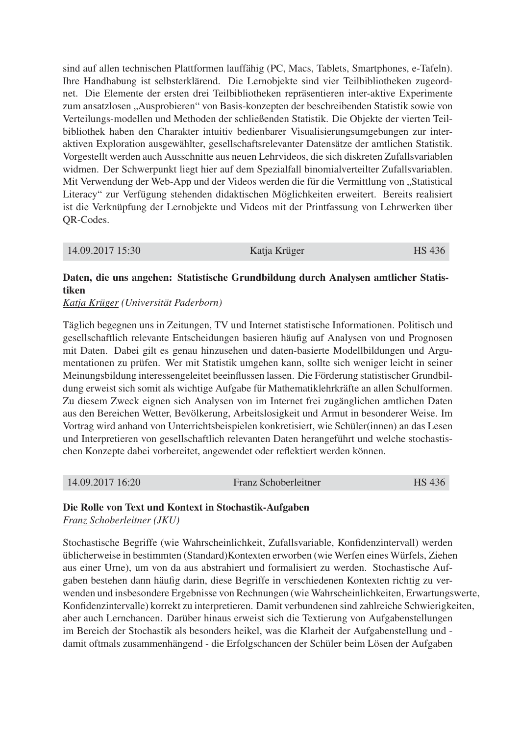sind auf allen technischen Plattformen lauffähig (PC, Macs, Tablets, Smartphones, e-Tafeln). Ihre Handhabung ist selbsterklärend. Die Lernobjekte sind vier Teilbibliotheken zugeordnet. Die Elemente der ersten drei Teilbibliotheken repräsentieren inter-aktive Experimente zum ansatzlosen "Ausprobieren" von Basis-konzepten der beschreibenden Statistik sowie von Verteilungs-modellen und Methoden der schließenden Statistik. Die Objekte der vierten Teilbibliothek haben den Charakter intuitiv bedienbarer Visualisierungsumgebungen zur interaktiven Exploration ausgewählter, gesellschaftsrelevanter Datensätze der amtlichen Statistik. Vorgestellt werden auch Ausschnitte aus neuen Lehrvideos, die sich diskreten Zufallsvariablen widmen. Der Schwerpunkt liegt hier auf dem Spezialfall binomialverteilter Zufallsvariablen. Mit Verwendung der Web-App und der Videos werden die für die Vermittlung von "Statistical Literacy" zur Verfügung stehenden didaktischen Möglichkeiten erweitert. Bereits realisiert ist die Verknüpfung der Lernobjekte und Videos mit der Printfassung von Lehrwerken über QR-Codes.

|  | 14.09.2017 15:30 | Katja Krüger | <b>HS</b> 436 |
|--|------------------|--------------|---------------|
|--|------------------|--------------|---------------|

# Daten, die uns angehen: Statistische Grundbildung durch Analysen amtlicher Statistiken

## *Katja Krüger (Universität Paderborn)*

Täglich begegnen uns in Zeitungen, TV und Internet statistische Informationen. Politisch und gesellschaftlich relevante Entscheidungen basieren häufig auf Analysen von und Prognosen mit Daten. Dabei gilt es genau hinzusehen und daten-basierte Modellbildungen und Argumentationen zu prüfen. Wer mit Statistik umgehen kann, sollte sich weniger leicht in seiner Meinungsbildung interessengeleitet beeinflussen lassen. Die Förderung statistischer Grundbildung erweist sich somit als wichtige Aufgabe für Mathematiklehrkräfte an allen Schulformen. Zu diesem Zweck eignen sich Analysen von im Internet frei zugänglichen amtlichen Daten aus den Bereichen Wetter, Bevölkerung, Arbeitslosigkeit und Armut in besonderer Weise. Im Vortrag wird anhand von Unterrichtsbeispielen konkretisiert, wie Schüler(innen) an das Lesen und Interpretieren von gesellschaftlich relevanten Daten herangeführt und welche stochastischen Konzepte dabei vorbereitet, angewendet oder reflektiert werden können.

| 14.09.2017 16:20 | Franz Schoberleitner | <b>HS</b> 436 |
|------------------|----------------------|---------------|
|------------------|----------------------|---------------|

## Die Rolle von Text und Kontext in Stochastik-Aufgaben

*Franz Schoberleitner (JKU)*

Stochastische Begriffe (wie Wahrscheinlichkeit, Zufallsvariable, Konfidenzintervall) werden üblicherweise in bestimmten (Standard)Kontexten erworben (wie Werfen eines Würfels, Ziehen aus einer Urne), um von da aus abstrahiert und formalisiert zu werden. Stochastische Aufgaben bestehen dann häufig darin, diese Begriffe in verschiedenen Kontexten richtig zu verwenden und insbesondere Ergebnisse von Rechnungen (wie Wahrscheinlichkeiten, Erwartungswerte, Konfidenzintervalle) korrekt zu interpretieren. Damit verbundenen sind zahlreiche Schwierigkeiten, aber auch Lernchancen. Darüber hinaus erweist sich die Textierung von Aufgabenstellungen im Bereich der Stochastik als besonders heikel, was die Klarheit der Aufgabenstellung und damit oftmals zusammenhängend - die Erfolgschancen der Schüler beim Lösen der Aufgaben